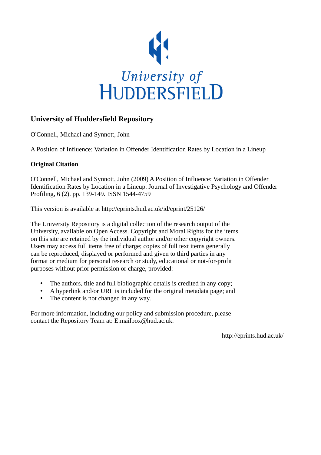

### **University of Huddersfield Repository**

O'Connell, Michael and Synnott, John

A Position of Influence: Variation in Offender Identification Rates by Location in a Lineup

#### **Original Citation**

O'Connell, Michael and Synnott, John (2009) A Position of Influence: Variation in Offender Identification Rates by Location in a Lineup. Journal of Investigative Psychology and Offender Profiling, 6 (2). pp. 139-149. ISSN 1544-4759

This version is available at http://eprints.hud.ac.uk/id/eprint/25126/

The University Repository is a digital collection of the research output of the University, available on Open Access. Copyright and Moral Rights for the items on this site are retained by the individual author and/or other copyright owners. Users may access full items free of charge; copies of full text items generally can be reproduced, displayed or performed and given to third parties in any format or medium for personal research or study, educational or not-for-profit purposes without prior permission or charge, provided:

- The authors, title and full bibliographic details is credited in any copy;
- A hyperlink and/or URL is included for the original metadata page; and
- The content is not changed in any way.

For more information, including our policy and submission procedure, please contact the Repository Team at: E.mailbox@hud.ac.uk.

http://eprints.hud.ac.uk/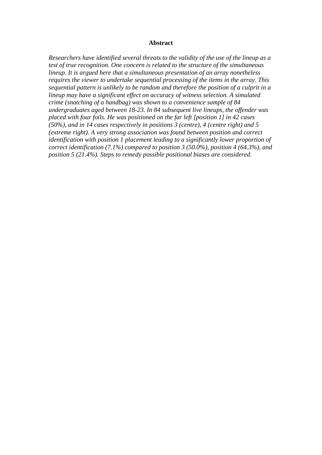#### **Abstract**

*Researchers have identified several threats to the validity of the use of the lineup as a test of true recognition. One concern is related to the structure of the simultaneous lineup. It is argued here that a simultaneous presentation of an array nonetheless requires the viewer to undertake sequential processing of the items in the array. This sequential pattern is unlikely to be random and therefore the position of a culprit in a lineup may have a significant effect on accuracy of witness selection. A simulated crime (snatching of a handbag) was shown to a convenience sample of 84 undergraduates aged between 18-23. In 84 subsequent live lineups, the offender was placed with four foils. He was positioned on the far left [position 1] in 42 cases (50%), and in 14 cases respectively in positions 3 (centre), 4 (centre right) and 5 (extreme right). A very strong association was found between position and correct identification with position 1 placement leading to a significantly lower proportion of correct identification (7.1%) compared to position 3 (50.0%), position 4 (64.3%), and position 5 (21.4%). Steps to remedy possible positional biases are considered.*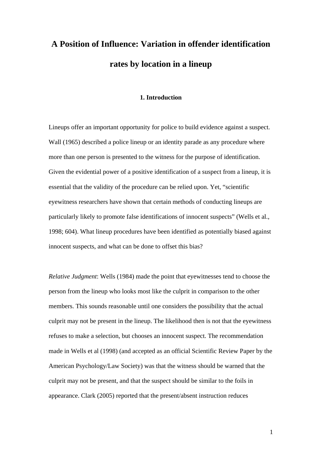# **A Position of Influence: Variation in offender identification rates by location in a lineup**

#### **1. Introduction**

Lineups offer an important opportunity for police to build evidence against a suspect. Wall (1965) described a police lineup or an identity parade as any procedure where more than one person is presented to the witness for the purpose of identification. Given the evidential power of a positive identification of a suspect from a lineup, it is essential that the validity of the procedure can be relied upon. Yet, "scientific eyewitness researchers have shown that certain methods of conducting lineups are particularly likely to promote false identifications of innocent suspects" (Wells et al., 1998; 604). What lineup procedures have been identified as potentially biased against innocent suspects, and what can be done to offset this bias?

*Relative Judgment*: Wells (1984) made the point that eyewitnesses tend to choose the person from the lineup who looks most like the culprit in comparison to the other members. This sounds reasonable until one considers the possibility that the actual culprit may not be present in the lineup. The likelihood then is not that the eyewitness refuses to make a selection, but chooses an innocent suspect. The recommendation made in Wells et al (1998) (and accepted as an official Scientific Review Paper by the American Psychology/Law Society) was that the witness should be warned that the culprit may not be present, and that the suspect should be similar to the foils in appearance. Clark (2005) reported that the present/absent instruction reduces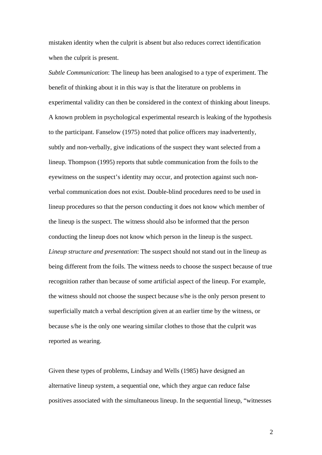mistaken identity when the culprit is absent but also reduces correct identification when the culprit is present.

*Subtle Communication*: The lineup has been analogised to a type of experiment. The benefit of thinking about it in this way is that the literature on problems in experimental validity can then be considered in the context of thinking about lineups. A known problem in psychological experimental research is leaking of the hypothesis to the participant. Fanselow (1975) noted that police officers may inadvertently, subtly and non-verbally, give indications of the suspect they want selected from a lineup. Thompson (1995) reports that subtle communication from the foils to the eyewitness on the suspect's identity may occur, and protection against such nonverbal communication does not exist. Double-blind procedures need to be used in lineup procedures so that the person conducting it does not know which member of the lineup is the suspect. The witness should also be informed that the person conducting the lineup does not know which person in the lineup is the suspect. *Lineup structure and presentation*: The suspect should not stand out in the lineup as being different from the foils. The witness needs to choose the suspect because of true recognition rather than because of some artificial aspect of the lineup. For example, the witness should not choose the suspect because s/he is the only person present to superficially match a verbal description given at an earlier time by the witness, or because s/he is the only one wearing similar clothes to those that the culprit was reported as wearing.

Given these types of problems, Lindsay and Wells (1985) have designed an alternative lineup system, a sequential one, which they argue can reduce false positives associated with the simultaneous lineup. In the sequential lineup, "witnesses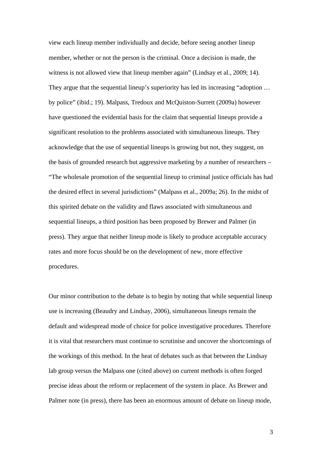view each lineup member individually and decide, before seeing another lineup member, whether or not the person is the criminal. Once a decision is made, the witness is not allowed view that lineup member again" (Lindsay et al., 2009; 14). They argue that the sequential lineup's superiority has led its increasing "adoption ... by police" (ibid.; 19). Malpass, Tredoux and McQuiston-Surrett (2009a) however have questioned the evidential basis for the claim that sequential lineups provide a significant resolution to the problems associated with simultaneous lineups. They acknowledge that the use of sequential lineups is growing but not, they suggest, on the basis of grounded research but aggressive marketing by a number of researchers – "The wholesale promotion of the sequential lineup to criminal justice officials has had the desired effect in several jurisdictions" (Malpass et al., 2009a; 26). In the midst of this spirited debate on the validity and flaws associated with simultaneous and sequential lineups, a third position has been proposed by Brewer and Palmer (in press). They argue that neither lineup mode is likely to produce acceptable accuracy rates and more focus should be on the development of new, more effective procedures.

Our minor contribution to the debate is to begin by noting that while sequential lineup use is increasing (Beaudry and Lindsay, 2006), simultaneous lineups remain the default and widespread mode of choice for police investigative procedures. Therefore it is vital that researchers must continue to scrutinise and uncover the shortcomings of the workings of this method. In the heat of debates such as that between the Lindsay lab group versus the Malpass one (cited above) on current methods is often forged precise ideas about the reform or replacement of the system in place. As Brewer and Palmer note (in press), there has been an enormous amount of debate on lineup mode,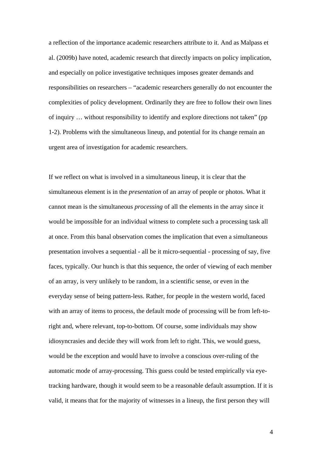a reflection of the importance academic researchers attribute to it. And as Malpass et al. (2009b) have noted, academic research that directly impacts on policy implication, and especially on police investigative techniques imposes greater demands and responsibilities on researchers – "academic researchers generally do not encounter the complexities of policy development. Ordinarily they are free to follow their own lines of inquiry … without responsibility to identify and explore directions not taken" (pp 1-2). Problems with the simultaneous lineup, and potential for its change remain an urgent area of investigation for academic researchers.

If we reflect on what is involved in a simultaneous lineup, it is clear that the simultaneous element is in the *presentation* of an array of people or photos. What it cannot mean is the simultaneous *processing* of all the elements in the array since it would be impossible for an individual witness to complete such a processing task all at once. From this banal observation comes the implication that even a simultaneous presentation involves a sequential - all be it micro-sequential - processing of say, five faces, typically. Our hunch is that this sequence, the order of viewing of each member of an array, is very unlikely to be random, in a scientific sense, or even in the everyday sense of being pattern-less. Rather, for people in the western world, faced with an array of items to process, the default mode of processing will be from left-toright and, where relevant, top-to-bottom. Of course, some individuals may show idiosyncrasies and decide they will work from left to right. This, we would guess, would be the exception and would have to involve a conscious over-ruling of the automatic mode of array-processing. This guess could be tested empirically via eyetracking hardware, though it would seem to be a reasonable default assumption. If it is valid, it means that for the majority of witnesses in a lineup, the first person they will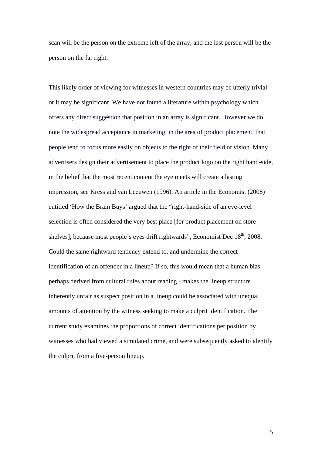scan will be the person on the extreme left of the array, and the last person will be the person on the far right.

This likely order of viewing for witnesses in western countries may be utterly trivial or it may be significant. We have not found a literature within psychology which offers any direct suggestion that position in an array is significant. However we do note the widespread acceptance in marketing, in the area of product placement, that people tend to focus more easily on objects to the right of their field of vision. Many advertisers design their advertisement to place the product logo on the right hand-side, in the belief that the most recent content the eye meets will create a lasting impression, see Kress and van Leeuwen (1996). An article in the Economist (2008) entitled 'How the Brain Buys' argued that the "right-hand-side of an eye-level selection is often considered the very best place [for product placement on store shelves], because most people's eyes drift rightwards", Economist Dec 18<sup>th</sup>, 2008. Could the same rightward tendency extend to, and undermine the correct identification of an offender in a lineup? If so, this would mean that a human bias – perhaps derived from cultural rules about reading - makes the lineup structure inherently unfair as suspect position in a lineup could be associated with unequal amounts of attention by the witness seeking to make a culprit identification. The current study examines the proportions of correct identifications per position by witnesses who had viewed a simulated crime, and were subsequently asked to identify the culprit from a five-person lineup.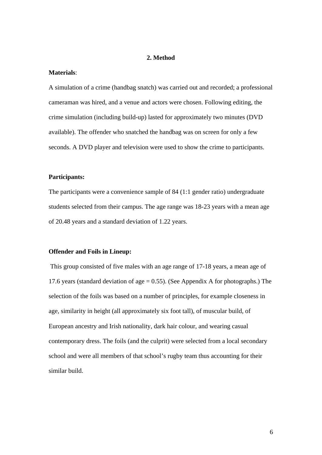#### **2. Method**

#### **Materials**:

A simulation of a crime (handbag snatch) was carried out and recorded; a professional cameraman was hired, and a venue and actors were chosen. Following editing, the crime simulation (including build-up) lasted for approximately two minutes (DVD available). The offender who snatched the handbag was on screen for only a few seconds. A DVD player and television were used to show the crime to participants.

#### **Participants:**

The participants were a convenience sample of 84 (1:1 gender ratio) undergraduate students selected from their campus. The age range was 18-23 years with a mean age of 20.48 years and a standard deviation of 1.22 years.

#### **Offender and Foils in Lineup:**

 This group consisted of five males with an age range of 17-18 years, a mean age of 17.6 years (standard deviation of age  $= 0.55$ ). (See Appendix A for photographs.) The selection of the foils was based on a number of principles, for example closeness in age, similarity in height (all approximately six foot tall), of muscular build, of European ancestry and Irish nationality, dark hair colour, and wearing casual contemporary dress. The foils (and the culprit) were selected from a local secondary school and were all members of that school's rugby team thus accounting for their similar build.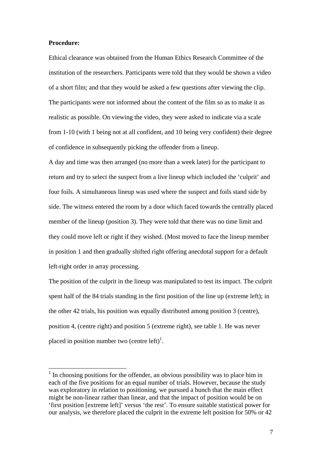#### **Procedure:**

1

Ethical clearance was obtained from the Human Ethics Research Committee of the institution of the researchers. Participants were told that they would be shown a video of a short film; and that they would be asked a few questions after viewing the clip. The participants were not informed about the content of the film so as to make it as realistic as possible. On viewing the video, they were asked to indicate via a scale from 1-10 (with 1 being not at all confident, and 10 being very confident) their degree of confidence in subsequently picking the offender from a lineup.

A day and time was then arranged (no more than a week later) for the participant to return and try to select the suspect from a live lineup which included the 'culprit' and four foils. A simultaneous lineup was used where the suspect and foils stand side by side. The witness entered the room by a door which faced towards the centrally placed member of the lineup (position 3). They were told that there was no time limit and they could move left or right if they wished. (Most moved to face the lineup member in position 1 and then gradually shifted right offering anecdotal support for a default left-right order in array processing.

The position of the culprit in the lineup was manipulated to test its impact. The culprit spent half of the 84 trials standing in the first position of the line up (extreme left); in the other 42 trials, his position was equally distributed among position 3 (centre), position 4, (centre right) and position 5 (extreme right), see table 1. He was never placed in position number two (centre left)<sup>1</sup>.

<sup>&</sup>lt;sup>1</sup> In choosing positions for the offender, an obvious possibility was to place him in each of the five positions for an equal number of trials. However, because the study was exploratory in relation to positioning, we pursued a hunch that the main effect might be non-linear rather than linear, and that the impact of position would be on 'first position [extreme left]' versus 'the rest'. To ensure suitable statistical power for our analysis, we therefore placed the culprit in the extreme left position for 50% or 42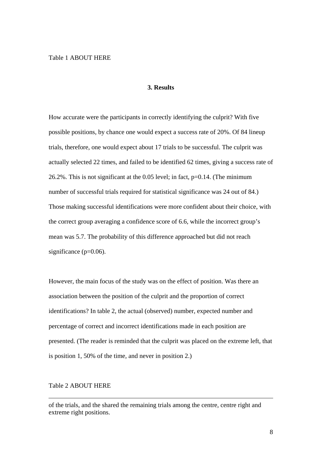#### **3. Results**

How accurate were the participants in correctly identifying the culprit? With five possible positions, by chance one would expect a success rate of 20%. Of 84 lineup trials, therefore, one would expect about 17 trials to be successful. The culprit was actually selected 22 times, and failed to be identified 62 times, giving a success rate of 26.2%. This is not significant at the 0.05 level; in fact, p=0.14. (The minimum number of successful trials required for statistical significance was 24 out of 84.) Those making successful identifications were more confident about their choice, with the correct group averaging a confidence score of 6.6, while the incorrect group's mean was 5.7. The probability of this difference approached but did not reach significance  $(p=0.06)$ .

However, the main focus of the study was on the effect of position. Was there an association between the position of the culprit and the proportion of correct identifications? In table 2, the actual (observed) number, expected number and percentage of correct and incorrect identifications made in each position are presented. (The reader is reminded that the culprit was placed on the extreme left, that is position 1, 50% of the time, and never in position 2.)

#### Table 2 ABOUT HERE

of the trials, and the shared the remaining trials among the centre, centre right and extreme right positions.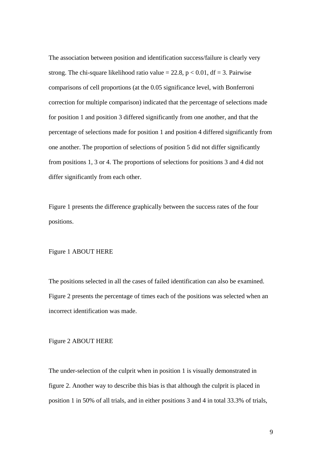The association between position and identification success/failure is clearly very strong. The chi-square likelihood ratio value = 22.8,  $p < 0.01$ , df = 3. Pairwise comparisons of cell proportions (at the 0.05 significance level, with Bonferroni correction for multiple comparison) indicated that the percentage of selections made for position 1 and position 3 differed significantly from one another, and that the percentage of selections made for position 1 and position 4 differed significantly from one another. The proportion of selections of position 5 did not differ significantly from positions 1, 3 or 4. The proportions of selections for positions 3 and 4 did not differ significantly from each other.

Figure 1 presents the difference graphically between the success rates of the four positions.

#### Figure 1 ABOUT HERE

The positions selected in all the cases of failed identification can also be examined. Figure 2 presents the percentage of times each of the positions was selected when an incorrect identification was made.

Figure 2 ABOUT HERE

The under-selection of the culprit when in position 1 is visually demonstrated in figure 2. Another way to describe this bias is that although the culprit is placed in position 1 in 50% of all trials, and in either positions 3 and 4 in total 33.3% of trials,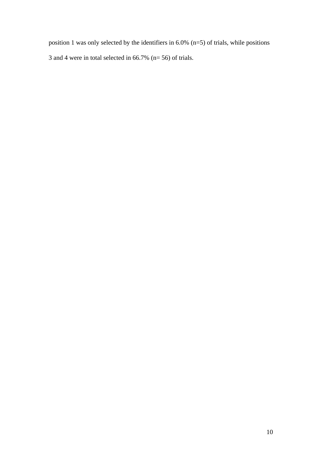position 1 was only selected by the identifiers in 6.0% (n=5) of trials, while positions 3 and 4 were in total selected in 66.7% (n= 56) of trials.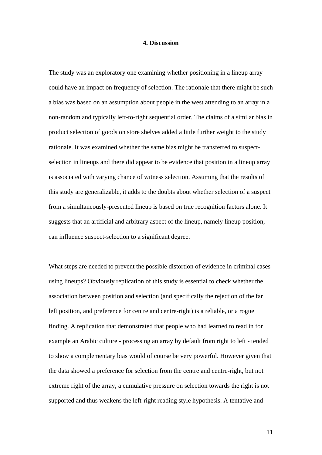#### **4. Discussion**

The study was an exploratory one examining whether positioning in a lineup array could have an impact on frequency of selection. The rationale that there might be such a bias was based on an assumption about people in the west attending to an array in a non-random and typically left-to-right sequential order. The claims of a similar bias in product selection of goods on store shelves added a little further weight to the study rationale. It was examined whether the same bias might be transferred to suspectselection in lineups and there did appear to be evidence that position in a lineup array is associated with varying chance of witness selection. Assuming that the results of this study are generalizable, it adds to the doubts about whether selection of a suspect from a simultaneously-presented lineup is based on true recognition factors alone. It suggests that an artificial and arbitrary aspect of the lineup, namely lineup position, can influence suspect-selection to a significant degree.

What steps are needed to prevent the possible distortion of evidence in criminal cases using lineups? Obviously replication of this study is essential to check whether the association between position and selection (and specifically the rejection of the far left position, and preference for centre and centre-right) is a reliable, or a rogue finding. A replication that demonstrated that people who had learned to read in for example an Arabic culture - processing an array by default from right to left - tended to show a complementary bias would of course be very powerful. However given that the data showed a preference for selection from the centre and centre-right, but not extreme right of the array, a cumulative pressure on selection towards the right is not supported and thus weakens the left-right reading style hypothesis. A tentative and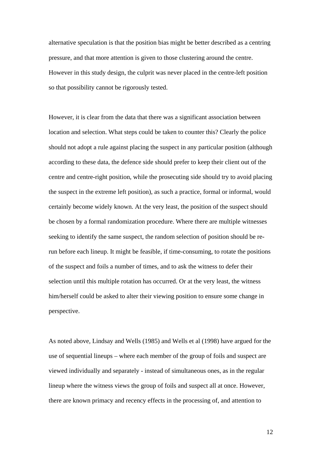alternative speculation is that the position bias might be better described as a centring pressure, and that more attention is given to those clustering around the centre. However in this study design, the culprit was never placed in the centre-left position so that possibility cannot be rigorously tested.

However, it is clear from the data that there was a significant association between location and selection. What steps could be taken to counter this? Clearly the police should not adopt a rule against placing the suspect in any particular position (although according to these data, the defence side should prefer to keep their client out of the centre and centre-right position, while the prosecuting side should try to avoid placing the suspect in the extreme left position), as such a practice, formal or informal, would certainly become widely known. At the very least, the position of the suspect should be chosen by a formal randomization procedure. Where there are multiple witnesses seeking to identify the same suspect, the random selection of position should be rerun before each lineup. It might be feasible, if time-consuming, to rotate the positions of the suspect and foils a number of times, and to ask the witness to defer their selection until this multiple rotation has occurred. Or at the very least, the witness him/herself could be asked to alter their viewing position to ensure some change in perspective.

As noted above, Lindsay and Wells (1985) and Wells et al (1998) have argued for the use of sequential lineups – where each member of the group of foils and suspect are viewed individually and separately - instead of simultaneous ones, as in the regular lineup where the witness views the group of foils and suspect all at once. However, there are known primacy and recency effects in the processing of, and attention to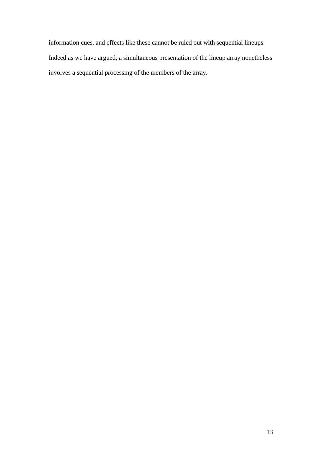information cues, and effects like these cannot be ruled out with sequential lineups. Indeed as we have argued, a simultaneous presentation of the lineup array nonetheless involves a sequential processing of the members of the array.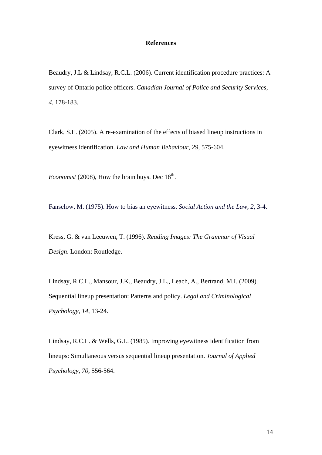#### **References**

Beaudry, J.L & Lindsay, R.C.L. (2006). Current identification procedure practices: A survey of Ontario police officers. *Canadian Journal of Police and Security Services, 4,* 178-183.

Clark, S.E. (2005). A re-examination of the effects of biased lineup instructions in eyewitness identification. *Law and Human Behaviour*, *29*, 575-604.

*Economist* (2008), How the brain buys. Dec  $18<sup>th</sup>$ .

Fanselow, M. (1975). How to bias an eyewitness. *Social Action and the Law*, *2*, 3-4.

Kress, G. & van Leeuwen, T. (1996). *Reading Images: The Grammar of Visual Design*. London: Routledge.

Lindsay, R.C.L., Mansour, J.K., Beaudry, J.L., Leach, A., Bertrand, M.I. (2009). Sequential lineup presentation: Patterns and policy. *Legal and Criminological Psychology, 14*, 13-24.

Lindsay, R.C.L. & Wells, G.L. (1985). Improving eyewitness identification from lineups: Simultaneous versus sequential lineup presentation. *Journal of Applied Psychology*, *70,* 556-564.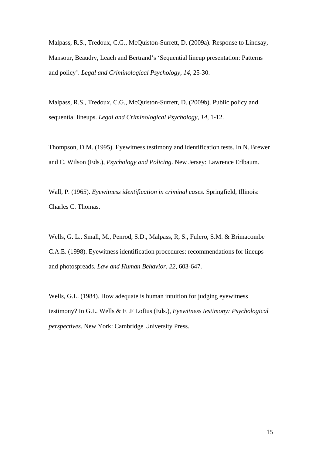Malpass, R.S., Tredoux, C.G., McQuiston-Surrett, D. (2009a). Response to Lindsay, Mansour, Beaudry, Leach and Bertrand's 'Sequential lineup presentation: Patterns and policy'. *Legal and Criminological Psychology, 14*, 25-30.

Malpass, R.S., Tredoux, C.G., McQuiston-Surrett, D. (2009b). Public policy and sequential lineups. *Legal and Criminological Psychology, 14*, 1-12.

Thompson, D.M. (1995). Eyewitness testimony and identification tests. In N. Brewer and C. Wilson (Eds.), *Psychology and Policing*. New Jersey: Lawrence Erlbaum.

Wall, P. (1965). *Eyewitness identification in criminal cases*. Springfield, Illinois: Charles C. Thomas.

Wells, G. L., Small, M., Penrod, S.D., Malpass, R, S., Fulero, S.M. & Brimacombe C.A.E. (1998). Eyewitness identification procedures: recommendations for lineups and photospreads. *Law and Human Behavior. 22*, 603-647.

Wells, G.L. (1984). How adequate is human intuition for judging eyewitness testimony? In G.L. Wells & E .F Loftus (Eds.), *Eyewitness testimony: Psychological perspectives*. New York: Cambridge University Press.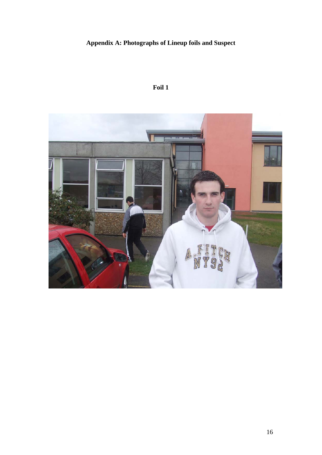## **Appendix A: Photographs of Lineup foils and Suspect**

## **Foil 1**

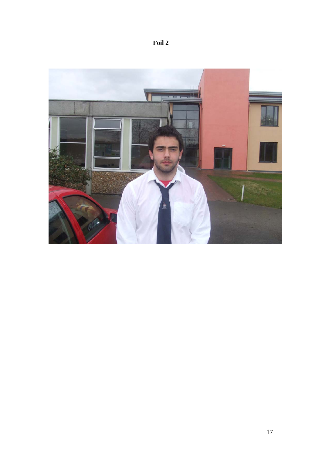![](_page_18_Picture_0.jpeg)

![](_page_18_Picture_1.jpeg)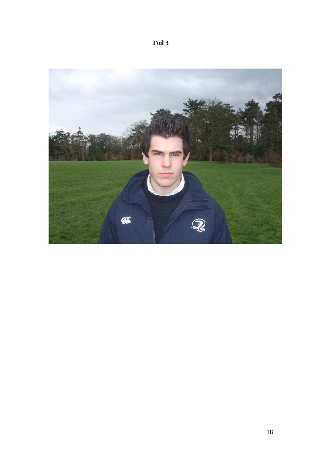![](_page_19_Picture_0.jpeg)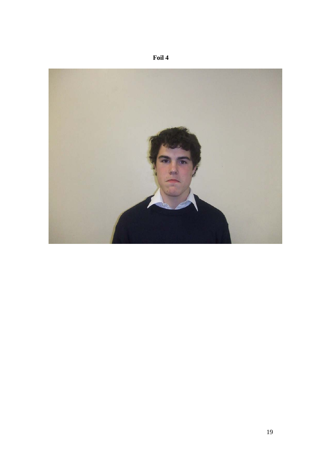![](_page_20_Picture_0.jpeg)